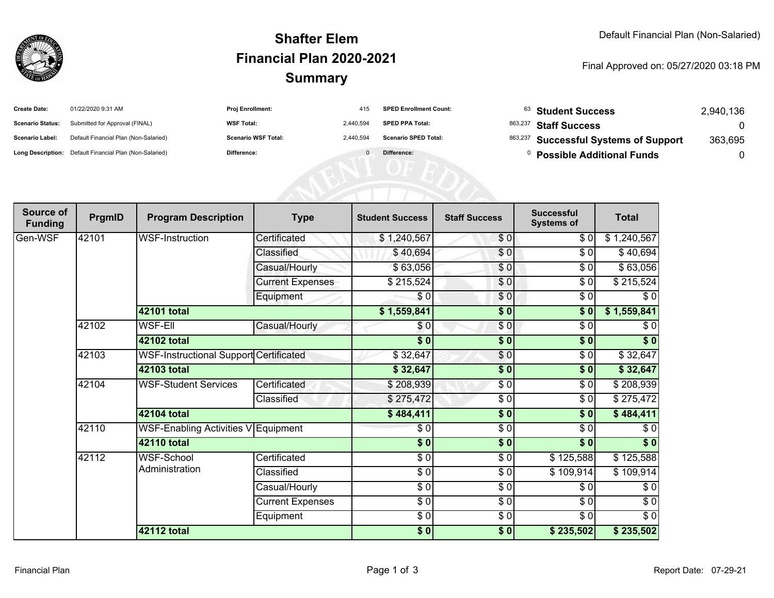

## **SummaryShafter ElemFinancial Plan 2020-2021**

## Final Approved on: 05/27/2020 03:18 PM

| <b>Create Date:</b>     | 01/22/2020 9:31 AM                                      | <b>Proj Enrollment:</b>    | 415       | <b>SPED Enrollment Count:</b> |         | <sup>63</sup> Student Success         | 2,940,136 |
|-------------------------|---------------------------------------------------------|----------------------------|-----------|-------------------------------|---------|---------------------------------------|-----------|
| <b>Scenario Status:</b> | Submitted for Approval (FINAL)                          | <b>WSF Total:</b>          | 2,440,594 | <b>SPED PPA Total:</b>        | 863,237 | <b>Staff Success</b>                  |           |
| Scenario Label:         | Default Financial Plan (Non-Salaried)                   | <b>Scenario WSF Total:</b> | 2,440,594 | <b>Scenario SPED Total:</b>   |         | 863,237 Successful Systems of Support | 363,695   |
|                         | Long Description: Default Financial Plan (Non-Salaried) | <b>Difference:</b>         |           | Difference:                   |         | <b>Possible Additional Funds</b>      |           |
|                         |                                                         |                            |           |                               |         |                                       |           |
|                         |                                                         |                            |           |                               |         |                                       |           |
|                         |                                                         |                            |           |                               |         |                                       |           |

| Source of<br><b>Funding</b> | PrgmID                                       | <b>Program Description</b>             | <b>Type</b>             | <b>Student Success</b>   | <b>Staff Success</b> | <b>Successful</b><br><b>Systems of</b> | <b>Total</b> |
|-----------------------------|----------------------------------------------|----------------------------------------|-------------------------|--------------------------|----------------------|----------------------------------------|--------------|
| Gen-WSF                     | 42101                                        | WSF-Instruction                        | Certificated            | \$1,240,567              | \$0                  | \$0                                    | \$1,240,567  |
|                             |                                              |                                        | Classified              | \$40,694                 | $\frac{1}{\sqrt{2}}$ | \$0                                    | \$40,694     |
|                             |                                              |                                        | Casual/Hourly           | \$63,056                 | \$0                  | \$0                                    | \$63,056     |
|                             |                                              |                                        | <b>Current Expenses</b> | \$215,524                | \$0                  | \$0                                    | \$215,524    |
|                             |                                              |                                        | Equipment               | $\sqrt{6}$               | \$0                  | $\frac{1}{\sqrt{2}}$                   | $\sqrt{6}$   |
|                             |                                              | 42101 total                            |                         | \$1,559,841              | $\overline{\$0}$     | \$0                                    | \$1,559,841  |
|                             | 42102                                        | <b>WSF-Ell</b>                         | Casual/Hourly           | \$0                      | \$0                  | \$0                                    | \$0          |
|                             |                                              | 42102 total                            |                         | $\sqrt{5}$               | $\overline{\bullet}$ | $\sqrt{6}$                             | $\sqrt[6]{}$ |
|                             | 42103                                        | WSF-Instructional Support Certificated |                         | \$32,647                 | \$0                  | \$0                                    | \$32,647     |
|                             |                                              | 42103 total                            |                         | \$32,647                 | $\frac{1}{2}$        | $\sqrt{6}$                             | \$32,647     |
|                             | 42104                                        | <b>WSF-Student Services</b>            | Certificated            | \$208,939                | \$0                  | \$0                                    | \$208,939    |
|                             |                                              |                                        | Classified              | \$275,472                | $\frac{1}{\epsilon}$ | $\sqrt{6}$                             | \$275,472    |
|                             |                                              | 42104 total                            |                         | \$484,411                | $\frac{1}{2}$        | \$0                                    | \$484,411    |
|                             | 42110<br>WSF-Enabling Activities V Equipment |                                        | \$0                     | $\frac{1}{\epsilon}$     | \$0                  | \$0                                    |              |
|                             |                                              | 42110 total                            |                         | $\sqrt{5}$               | \$0                  | $\overline{\bullet}$                   | \$0          |
|                             | 42112                                        | WSF-School                             | Certificated            | $\sqrt{6}$               | $\frac{3}{6}$        | \$125,588                              | \$125,588    |
|                             |                                              | Administration                         | Classified              | $\sqrt{3}$               | $\frac{1}{\epsilon}$ | \$109,914                              | \$109,914    |
|                             |                                              |                                        | Casual/Hourly           | $\frac{6}{6}$            | $\sqrt{6}$           | \$0                                    | $\sqrt{6}$   |
|                             |                                              |                                        | <b>Current Expenses</b> | $\overline{\frac{1}{2}}$ | \$0                  | \$0                                    | \$0          |
|                             |                                              |                                        | Equipment               | $\frac{6}{6}$            | $\sqrt{6}$           | $\frac{1}{\sqrt{2}}$                   | $\sqrt{6}$   |
|                             |                                              | 42112 total                            |                         | \$0]                     | $\sqrt{6}$           | \$235,502                              | \$235,502    |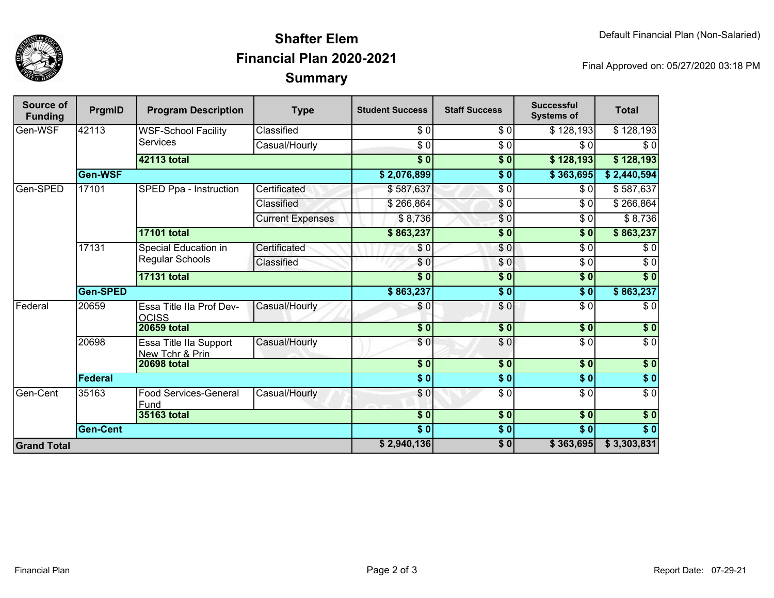

## **SummaryShafter ElemFinancial Plan 2020-2021**

Final Approved on: 05/27/2020 03:18 PM

| <b>Source of</b><br><b>Funding</b> | PrgmID          | <b>Program Description</b>                     | <b>Type</b>             | <b>Student Success</b> | <b>Staff Success</b> | <b>Successful</b><br><b>Systems of</b> | <b>Total</b>     |
|------------------------------------|-----------------|------------------------------------------------|-------------------------|------------------------|----------------------|----------------------------------------|------------------|
| Gen-WSF                            | 42113           | <b>WSF-School Facility</b>                     | Classified              | $\frac{3}{6}$          | \$0                  | \$128,193                              | \$128,193        |
|                                    |                 | <b>Services</b>                                | Casual/Hourly           | $\frac{3}{6}$          | \$ 0                 | \$0                                    | $\sqrt{6}$       |
|                                    |                 | <b>42113 total</b>                             |                         | $\overline{\bullet}$ 0 | $\overline{\$0}$     | \$128,193                              | \$128,193        |
|                                    | Gen-WSF         |                                                |                         | \$2,076,899            | $\overline{\$0}$     | \$363,695                              | \$2,440,594      |
| Gen-SPED                           | 17101           | SPED Ppa - Instruction                         | Certificated            | \$587,637              | $\sqrt{6}$           | \$0                                    | \$587,637        |
|                                    |                 |                                                | Classified              | \$266,864              | \$0                  | \$0                                    | \$266,864        |
|                                    |                 |                                                | <b>Current Expenses</b> | \$8,736                | \$0                  | \$0                                    | \$8,736          |
|                                    |                 | <b>17101 total</b>                             |                         | \$863,237              | $\overline{\$0}$     | \$0                                    | \$863,237        |
|                                    | 17131           | Special Education in<br><b>Regular Schools</b> | Certificated            | \$0                    | $\frac{6}{3}$        | $\overline{\$0}$                       | $\sqrt{6}$       |
|                                    |                 |                                                | Classified              | \$0                    | \$0                  | $\sqrt{6}$                             | $\sqrt{6}$       |
|                                    |                 | <b>17131 total</b>                             |                         | $\overline{\bullet}$ 0 | $\overline{\$0}$     | $\overline{\$0}$                       | $\overline{\$0}$ |
|                                    | Gen-SPED        |                                                |                         | \$863,237              | $\sqrt{6}$           | \$0                                    | \$863,237        |
| Federal                            | 20659           | Essa Title IIa Prof Dev-<br><b>OCISS</b>       | Casual/Hourly           | \$0                    | \$0                  | $\sqrt{6}$                             | $\overline{\$0}$ |
|                                    |                 | <b>20659 total</b>                             |                         | $\sqrt{5}$             | \$0                  | \$0                                    | \$0              |
|                                    | 20698           | Essa Title IIa Support<br>New Tchr & Prin      | Casual/Hourly           | $\overline{\$0}$       | $\sqrt{6}$           | $\overline{\$0}$                       | $\overline{\$0}$ |
|                                    |                 | <b>20698 total</b>                             |                         | \$0]                   | $\frac{1}{2}$        | \$0                                    | \$0              |
|                                    | Federal         |                                                |                         | \$0                    | \$0                  | \$0                                    | \$0              |
| Gen-Cent                           | 35163           | <b>Food Services-General</b><br>Fund           | Casual/Hourly           | \$0                    | $\sqrt{6}$           | $\overline{\$0}$                       | $\overline{S}0$  |
|                                    | 35163 total     |                                                |                         | $\overline{\$0}$       | $\overline{\$0}$     | $\overline{\$0}$                       | $\overline{\$0}$ |
|                                    | <b>Gen-Cent</b> |                                                |                         | $\overline{\$0}$       | $\sqrt{5}0$          | $\overline{\$0}$                       | $\overline{\$0}$ |
| <b>Grand Total</b>                 |                 |                                                |                         | \$2,940,136            | $\sqrt{6}$           | \$363,695                              | \$3,303,831      |